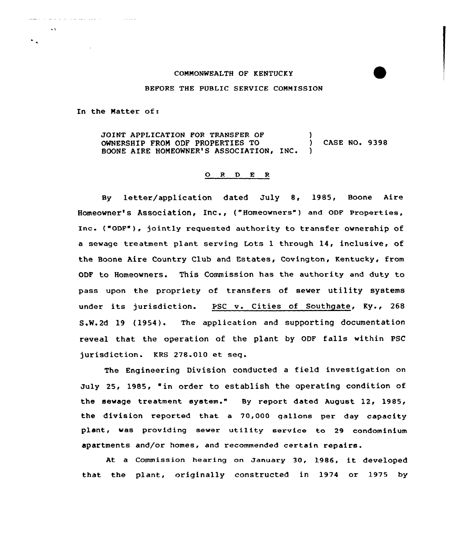## COMMONWEALTH OF KENTUCKY

## BEFORE THE PUBLIC SERVICE COMMISSION

In the Matter of:

**Contractor** 

and and an experience and a state

 $\Delta\Delta$ 

JOINT APPLICATION FOR TRANSFER OF (3)<br>  $\begin{array}{ccc} 0 & \text{OWNERSHIP FROM ODF PROPERTIES TO \end{array}$  (ASE NO. 9398) OWNERSHIP FROM ODF PROPERTIES TO BOONE AIRE HOMEOWNER'S ASSOCIATION, INC. )

## O R D E R

By letter/application dated July 8, 1985, Boone Aire Homeowner's Association, Inc., ("Homeowners" ) and QDF Properties, Inc. ("0DF"), jointly requested authority to transfer ownership of a sewage treatment plant serving Lots 1 through 14, inclusive, of the Boone Aire Country Club and Estates, Covington, Kentucky, from ODF to Homeowners. This Commission has the authority and duty to pass upon the propriety of transfers of sewer utility systems under its jurisdiction. PSC v. Cities of Southgate, Ky., 268 S.N.2d 19 (1954). The application and supporting documentation reveal that the operation of the plant by ODF falls within PSC jurisdiction. KRS 278.010 et seq.

The Engineering Division conducted <sup>a</sup> field investigation on July 25, 1985, "in order to establish the operating condition of the sewage treatment system." By report dated August 12, 1985, the division reported that a 70,000 gallons per day capacity plant, was providing sewer utility service to 29 condominium apartments and/or homes, and recommended certain repairs.

At <sup>a</sup> Commission hearing on January 30, 1986, it developed that the plant, originally constructed in 1974 or 1975 by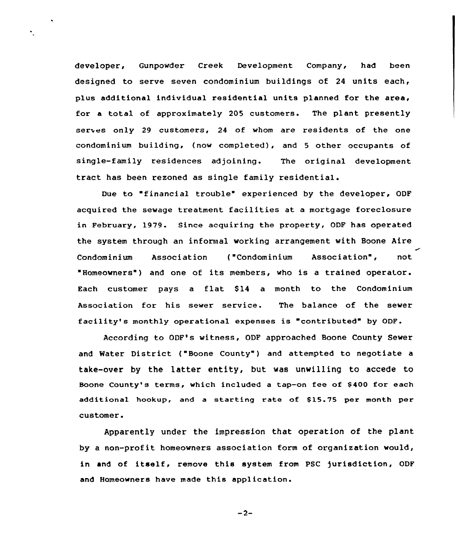developer, Gunpowder Creek Development Company, had been designed to serve seven condominium buildings of 24 units each, plus additional individual residential units planned for the area, for a total of approximately 205 customers. The plant presently serves only 29 customers, 24 of whom are residents of the one condominium building, (now completed), and <sup>5</sup> other occupants of single-family residences adjoining. The original development tract has been rezoned as single family residential.

Due to "financial trouble" experienced by the developer, ODF acquired the sewage treatment facilities at a mortgage foreclosure in February, 1979. Since acquiring the property, ODF has operated the system through an informal working arrangement with Boone Aire Condominium Association ("Condominium Association", not "Homeowners" ) and one of its members, who is <sup>a</sup> trained operator. Each customer pays a flat \$14 a month to the Condominium Association for his sewer service. The balance of the sewer facility's monthly operational expenses is "contributed" by ODF.

According to ODF's witness, ODF approached Boone County Sewer and Water District ("Boone County") and attempted to negotiate a take-over by the latter entity, but was unwilling to accede to Boone County's terms, which included a tap-on fee of \$ 400 for each additional hookup, and a starting rate of \$15.75 per month per customer.

Apparently under the impression that operation of the plant by a non-profit homeowners association form of organization would, in and of itself, remove this system from PSC jurisdiction, ODF and Homeowners have made this application.

 $-2-$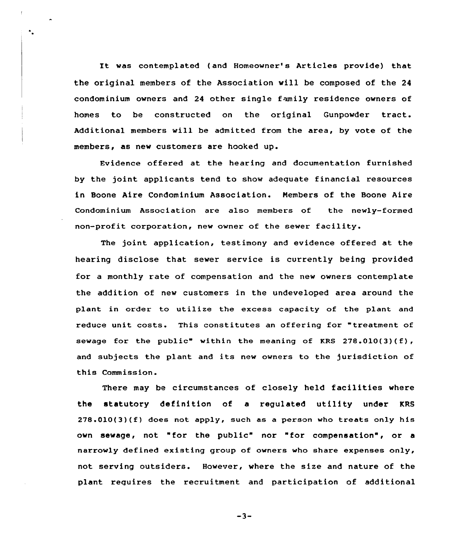It was contemplated (and Homeowner's Articles provide) that the original members of the Association will be composed of the 24 condominium owners and 24 other single family residence owners of homes to be constructed on the original Gunpowder tract. Additional members will be admitted from the area, by vote of the members, as new customers are hooked up.

 $\ddot{\phantom{a}}$ 

Evidence offered at the hearing and documentation furnished by the joint applicants tend to show adequate financial resources in Boone Aire Condominium Association. Nembers of the Boone Aire Condominium Association are also members of the newly-formed non-profit corporation, new owner of the sewer facility.

The joint application, testimony and evidence offered at the hearing disclose that sewer service is currently being provided for a monthly rate of compensation and the new owners contemplate the addition of new customers in the undeveloped area around the plant in order to utilize the excess capacity of the plant and reduce unit costs. This constitutes an offering for "treatment of sewage for the public" within the meaning of KRS 278.010(3)(f), and subjects the plant and its new owners to the jurisdiction of this Commission.

There may be circumstances of closely held facilities where the statutory definition of a regulated utility under KRS  $278.010(3)(f)$  does not apply, such as a person who treats only his own sewage, not "for the public" nor "for compensation", or <sup>a</sup> narrowly defined existing group of owners who share expenses only, not serving outsiders. However, where the size and nature of the plant requires the recruitment and participation of additional

-3-